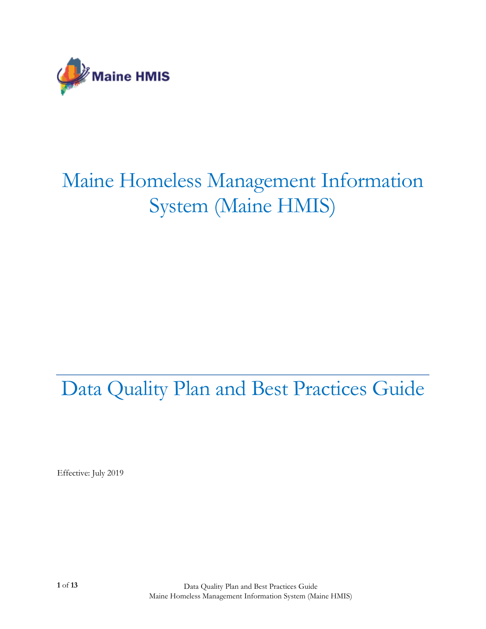

# Maine Homeless Management Information System (Maine HMIS)

## Data Quality Plan and Best Practices Guide

Effective: July 2019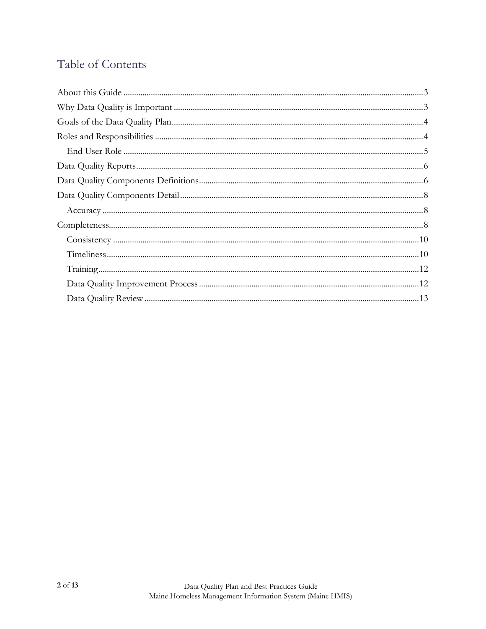### Table of Contents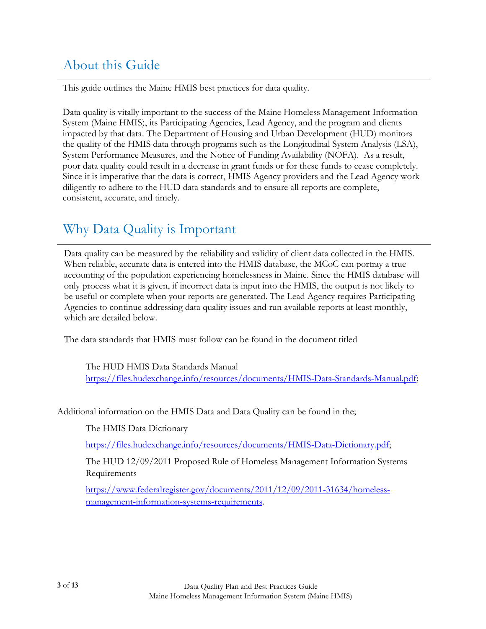### <span id="page-2-0"></span>About this Guide

This guide outlines the Maine HMIS best practices for data quality.

Data quality is vitally important to the success of the Maine Homeless Management Information System (Maine HMIS), its Participating Agencies, Lead Agency, and the program and clients impacted by that data. The Department of Housing and Urban Development (HUD) monitors the quality of the HMIS data through programs such as the Longitudinal System Analysis (LSA), System Performance Measures, and the Notice of Funding Availability (NOFA). As a result, poor data quality could result in a decrease in grant funds or for these funds to cease completely. Since it is imperative that the data is correct, HMIS Agency providers and the Lead Agency work diligently to adhere to the HUD data standards and to ensure all reports are complete, consistent, accurate, and timely.

### <span id="page-2-1"></span>Why Data Quality is Important

Data quality can be measured by the reliability and validity of client data collected in the HMIS. When reliable, accurate data is entered into the HMIS database, the MCoC can portray a true accounting of the population experiencing homelessness in Maine. Since the HMIS database will only process what it is given, if incorrect data is input into the HMIS, the output is not likely to be useful or complete when your reports are generated. The Lead Agency requires Participating Agencies to continue addressing data quality issues and run available reports at least monthly, which are detailed below.

The data standards that HMIS must follow can be found in the document titled

The HUD HMIS Data Standards Manual [https://files.hudexchange.info/resources/documents/HMIS-Data-Standards-Manual.pdf;](https://files.hudexchange.info/resources/documents/HMIS-Data-Standards-Manual.pdf)

Additional information on the HMIS Data and Data Quality can be found in the;

The HMIS Data Dictionary

[https://files.hudexchange.info/resources/documents/HMIS-Data-Dictionary.pdf;](https://files.hudexchange.info/resources/documents/HMIS-Data-Dictionary.pdf)

The HUD 12/09/2011 Proposed Rule of Homeless Management Information Systems Requirements

[https://www.federalregister.gov/documents/2011/12/09/2011-31634/homeless](https://www.federalregister.gov/documents/2011/12/09/2011-31634/homeless-management-information-systems-requirements)[management-information-systems-requirements.](https://www.federalregister.gov/documents/2011/12/09/2011-31634/homeless-management-information-systems-requirements)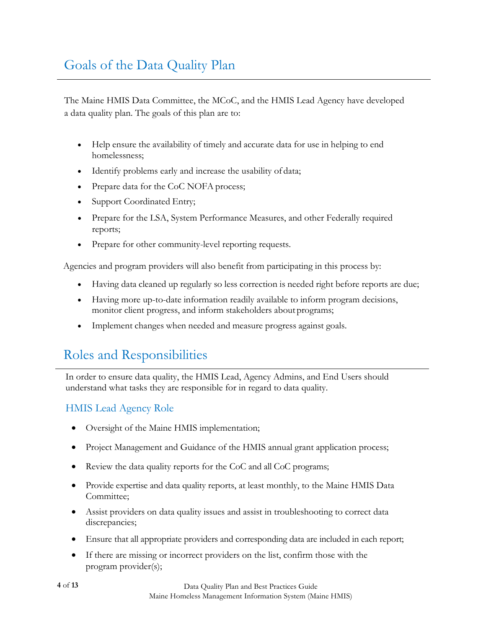### <span id="page-3-0"></span>Goals of the Data Quality Plan

The Maine HMIS Data Committee, the MCoC, and the HMIS Lead Agency have developed a data quality plan. The goals of this plan are to:

- Help ensure the availability of timely and accurate data for use in helping to end homelessness;
- Identify problems early and increase the usability of data;
- Prepare data for the CoC NOFA process;
- Support Coordinated Entry;
- Prepare for the LSA, System Performance Measures, and other Federally required reports;
- Prepare for other community-level reporting requests.

Agencies and program providers will also benefit from participating in this process by:

- Having data cleaned up regularly so less correction is needed right before reports are due;
- Having more up-to-date information readily available to inform program decisions, monitor client progress, and inform stakeholders about programs;
- Implement changes when needed and measure progress against goals.

### <span id="page-3-1"></span>Roles and Responsibilities

In order to ensure data quality, the HMIS Lead, Agency Admins, and End Users should understand what tasks they are responsible for in regard to data quality.

### HMIS Lead Agency Role

- Oversight of the Maine HMIS implementation;
- Project Management and Guidance of the HMIS annual grant application process;
- Review the data quality reports for the CoC and all CoC programs;
- Provide expertise and data quality reports, at least monthly, to the Maine HMIS Data Committee;
- Assist providers on data quality issues and assist in troubleshooting to correct data discrepancies;
- Ensure that all appropriate providers and corresponding data are included in each report;
- If there are missing or incorrect providers on the list, confirm those with the program provider(s);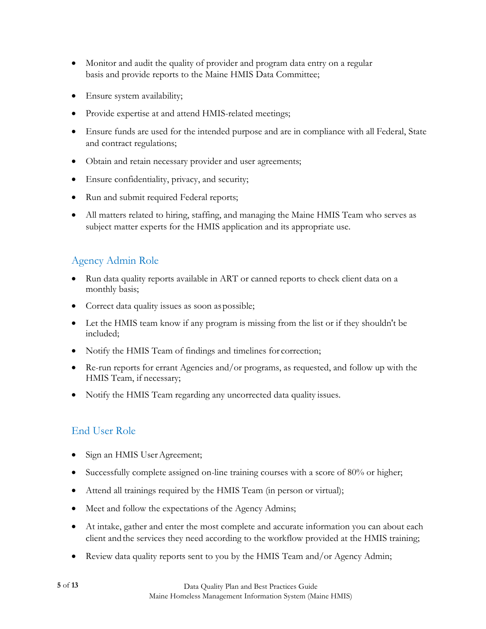- Monitor and audit the quality of provider and program data entry on a regular basis and provide reports to the Maine HMIS Data Committee;
- Ensure system availability;
- Provide expertise at and attend HMIS-related meetings;
- Ensure funds are used for the intended purpose and are in compliance with all Federal, State and contract regulations;
- Obtain and retain necessary provider and user agreements;
- Ensure confidentiality, privacy, and security;
- Run and submit required Federal reports;
- All matters related to hiring, staffing, and managing the Maine HMIS Team who serves as subject matter experts for the HMIS application and its appropriate use.

### Agency Admin Role

- Run data quality reports available in ART or canned reports to check client data on a monthly basis;
- Correct data quality issues as soon as possible;
- Let the HMIS team know if any program is missing from the list or if they shouldn't be included;
- Notify the HMIS Team of findings and timelines for correction;
- Re-run reports for errant Agencies and/or programs, as requested, and follow up with the HMIS Team, if necessary;
- Notify the HMIS Team regarding any uncorrected data quality issues.

### <span id="page-4-0"></span>End User Role

- Sign an HMIS User Agreement;
- Successfully complete assigned on-line training courses with a score of 80% or higher;
- Attend all trainings required by the HMIS Team (in person or virtual);
- Meet and follow the expectations of the Agency Admins;
- At intake, gather and enter the most complete and accurate information you can about each client andthe services they need according to the workflow provided at the HMIS training;
- Review data quality reports sent to you by the HMIS Team and/or Agency Admin;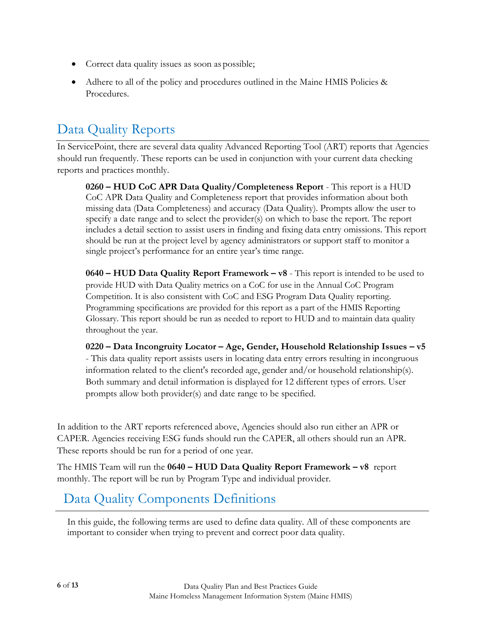- Correct data quality issues as soon as possible;
- Adhere to all of the policy and procedures outlined in the Maine HMIS Policies & Procedures.

### <span id="page-5-0"></span>Data Quality Reports

In ServicePoint, there are several data quality Advanced Reporting Tool (ART) reports that Agencies should run frequently. These reports can be used in conjunction with your current data checking reports and practices monthly.

**0260 – HUD CoC APR Data Quality/Completeness Report** - This report is a HUD CoC APR Data Quality and Completeness report that provides information about both missing data (Data Completeness) and accuracy (Data Quality). Prompts allow the user to specify a date range and to select the provider(s) on which to base the report. The report includes a detail section to assist users in finding and fixing data entry omissions. This report should be run at the project level by agency administrators or support staff to monitor a single project's performance for an entire year's time range.

**0640 – HUD Data Quality Report Framework – v8** - This report is intended to be used to provide HUD with Data Quality metrics on a CoC for use in the Annual CoC Program Competition. It is also consistent with CoC and ESG Program Data Quality reporting. Programming specifications are provided for this report as a part of the HMIS Reporting Glossary. This report should be run as needed to report to HUD and to maintain data quality throughout the year.

**0220 – Data Incongruity Locator – Age, Gender, Household Relationship Issues – v5** - This data quality report assists users in locating data entry errors resulting in incongruous information related to the client's recorded age, gender and/or household relationship(s). Both summary and detail information is displayed for 12 different types of errors. User prompts allow both provider(s) and date range to be specified.

In addition to the ART reports referenced above, Agencies should also run either an APR or CAPER. Agencies receiving ESG funds should run the CAPER, all others should run an APR. These reports should be run for a period of one year.

The HMIS Team will run the **0640 – HUD Data Quality Report Framework – v8** report monthly. The report will be run by Program Type and individual provider.

### <span id="page-5-1"></span>Data Quality Components Definitions

In this guide, the following terms are used to define data quality. All of these components are important to consider when trying to prevent and correct poor data quality.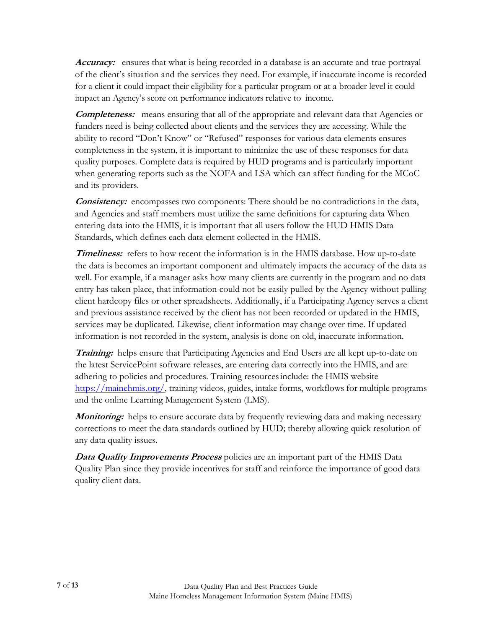**Accuracy:** ensures that what is being recorded in a database is an accurate and true portrayal of the client's situation and the services they need. For example, if inaccurate income is recorded for a client it could impact their eligibility for a particular program or at a broader level it could impact an Agency's score on performance indicators relative to income.

**Completeness:** means ensuring that all of the appropriate and relevant data that Agencies or funders need is being collected about clients and the services they are accessing. While the ability to record "Don't Know" or "Refused" responses for various data elements ensures completeness in the system, it is important to minimize the use of these responses for data quality purposes. Complete data is required by HUD programs and is particularly important when generating reports such as the NOFA and LSA which can affect funding for the MCoC and its providers.

**Consistency:** encompasses two components: There should be no contradictions in the data, and Agencies and staff members must utilize the same definitions for capturing data When entering data into the HMIS, it is important that all users follow the HUD HMIS Data Standards, which defines each data element collected in the HMIS.

**Timeliness:** refers to how recent the information is in the HMIS database. How up-to-date the data is becomes an important component and ultimately impacts the accuracy of the data as well. For example, if a manager asks how many clients are currently in the program and no data entry has taken place, that information could not be easily pulled by the Agency without pulling client hardcopy files or other spreadsheets. Additionally, if a Participating Agency serves a client and previous assistance received [by the client has not](http://www.mainehmis.org/) been recorded or updated in the HMIS, services may be duplicated. Likewise, client information may change over time. If updated information is not recorded in the system, analysis is done on old, inaccurate information.

**Training:** helps ensure that Participating Agencies and End Users are all kept up-to-date on the latest ServicePoint software releases, are entering data correctly into the HMIS, and are adhering to policies and procedures. Training resourcesinclude: the HMIS website [https://mainehmis.org/,](https://mainehmis.org/) training videos, [guides,](http://www.mainehmis.org/) intake forms, workflows for multiple programs and the online Learning Management System (LMS).

*Monitoring:* helps to ensure accurate data by frequently reviewing data and making necessary corrections to meet the data standards outlined by HUD; thereby allowing quick resolution of any data quality issues.

**Data Quality Improvements Process** policies are an important part of the HMIS Data Quality Plan since they provide incentives for staff and reinforce the importance of good data quality client data.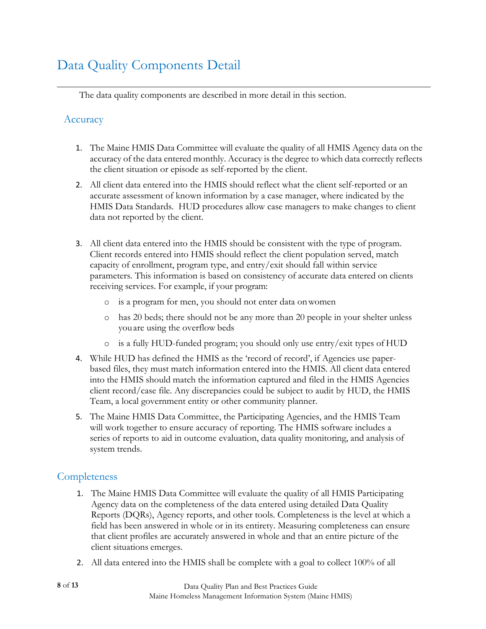### <span id="page-7-0"></span>Data Quality Components Detail

The data quality components are described in more detail in this section.

#### <span id="page-7-1"></span>**Accuracy**

- 1. The Maine HMIS Data Committee will evaluate the quality of all HMIS Agency data on the accuracy of the data entered monthly. Accuracy is the degree to which data correctly reflects the client situation or episode as self-reported by the client.
- 2. All client data entered into the HMIS should reflect what the client self-reported or an accurate assessment of known information by a case manager, where indicated by the HMIS Data Standards. HUD procedures allow case managers to make changes to client data not reported by the client.
- 3. All client data entered into the HMIS should be consistent with the type of program. Client records entered into HMIS should reflect the client population served, match capacity of enrollment, program type, and entry/exit should fall within service parameters. This information is based on consistency of accurate data entered on clients receiving services. For example, if your program:
	- o is a program for men, you should not enter data onwomen
	- o has 20 beds; there should not be any more than 20 people in your shelter unless you are using the overflow beds
	- o is a fully HUD-funded program; you should only use entry/exit types of HUD
- 4. While HUD has defined the HMIS as the 'record of record', if Agencies use paperbased files, they must match information entered into the HMIS. All client data entered into the HMIS should match the information captured and filed in the HMIS Agencies client record/case file. Any discrepancies could be subject to audit by HUD, the HMIS Team, a local government entity or other community planner.
- 5. The Maine HMIS Data Committee, the Participating Agencies, and the HMIS Team will work together to ensure accuracy of reporting. The HMIS software includes a series of reports to aid in outcome evaluation, data quality monitoring, and analysis of system trends.

#### <span id="page-7-2"></span>**Completeness**

- 1. The Maine HMIS Data Committee will evaluate the quality of all HMIS Participating Agency data on the completeness of the data entered using detailed Data Quality Reports (DQRs), Agency reports, and other tools. Completeness is the level at which a field has been answered in whole or in its entirety. Measuring completeness can ensure that client profiles are accurately answered in whole and that an entire picture of the client situations emerges.
- 2. All data entered into the HMIS shall be complete with a goal to collect 100% of all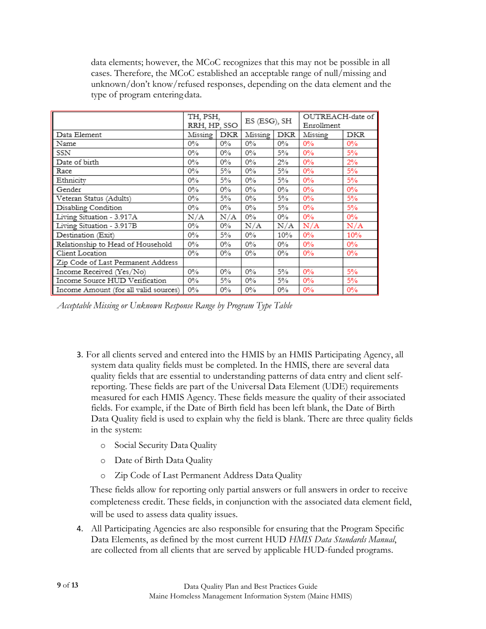data elements; however, the MCoC recognizes that this may not be possible in all cases. Therefore, the MCoC established an acceptable range of null/missing and unknown/don't know/refused responses, depending on the data element and the type of program entering data.

|                                       | TH, PSH,<br>RRH, HP, SSO |       | ES (ESG), SH |       | OUTREACH-date of<br>Enrollment |       |
|---------------------------------------|--------------------------|-------|--------------|-------|--------------------------------|-------|
| Data Element                          | Missing                  | DKR   | Missing      | DKR   | Missing                        | DKR   |
| Name                                  | $0\%$                    | $0\%$ | $0\%$        | $0\%$ | 0%                             | 0%    |
| SSN                                   | $0\%$                    | $0\%$ | $0\%$        | 5%    | $0\%$                          | 5%    |
| Date of birth                         | $0\%$                    | $0\%$ | $0\%$        | $2\%$ | $0\%$                          | 2%    |
| Race                                  | $0\%$                    | $5\%$ | $0\%$        | 5%    | $0\%$                          | 5%    |
| Ethnicity                             | $0\%$                    | $5\%$ | $0\%$        | $5\%$ | 0%                             | 5%    |
| Gender                                | $0\%$                    | $0\%$ | $0\%$        | $0\%$ | $0\%$                          | 0%    |
| Veteran Status (Adults)               | $0\%$                    | $5\%$ | $0\%$        | $5\%$ | $0\%$                          | 5%    |
| Disabling Condition                   | $0\%$                    | $0\%$ | $0\%$        | $5\%$ | 0%                             | 5%    |
| Living Situation - 3.917A             | N/A                      | N/A   | $0\%$        | $0\%$ | $0\%$                          | $0\%$ |
| Living Situation - 3.917B             | $0\%$                    | $0\%$ | N/A          | N/A   | N/A                            | N/A   |
| Destination (Exit)                    | $0\%$                    | $5\%$ | $0\%$        | 10%   | $0\%$                          | 10%   |
| Relationship to Head of Household     | $0\%$                    | $0\%$ | $0\%$        | $0\%$ | $0\%$                          | $0\%$ |
| Client Location                       | $0\%$                    | $0\%$ | $0\%$        | $0\%$ | $0\%$                          | $0\%$ |
| Zip Code of Last Permanent Address    |                          |       |              |       |                                |       |
| Income Received (Yes/No)              | $0\%$                    | $0\%$ | $0\%$        | $5\%$ | 0%                             | 5%    |
| Income Source HUD Verification        | $0\%$                    | 5%    | $0\%$        | 5%    | 0%                             | 5%    |
| Income Amount (for all valid sources) | $0\%$                    | $0\%$ | $0\%$        | $0\%$ | $0\%$                          | $0\%$ |

*Acceptable Missing or Unknown Response Range by Program Type Table*

- 3. For all clients served and entered into the HMIS by an HMIS Participating Agency, all system data quality fields must be completed. In the HMIS, there are several data quality fields that are essential to understanding patterns of data entry and client selfreporting. These fields are part of the Universal Data Element (UDE) requirements measured for each HMIS Agency. These fields measure the quality of their associated fields. For example, if the Date of Birth field has been left blank, the Date of Birth Data Quality field is used to explain why the field is blank. There are three quality fields in the system:
	- o Social Security Data Quality
	- o Date of Birth Data Quality
	- o Zip Code of Last Permanent Address Data Quality

These fields allow for reporting only partial answers or full answers in order to receive completeness credit. These fields, in conjunction with the associated data element field, will be used to assess data quality issues.

4. All Participating Agencies are also responsible for ensuring that the Program Specific Data Elements, as defined by the most current HUD *HMIS Data Standards Manual*, are collected from all clients that are served by applicable HUD-funded programs.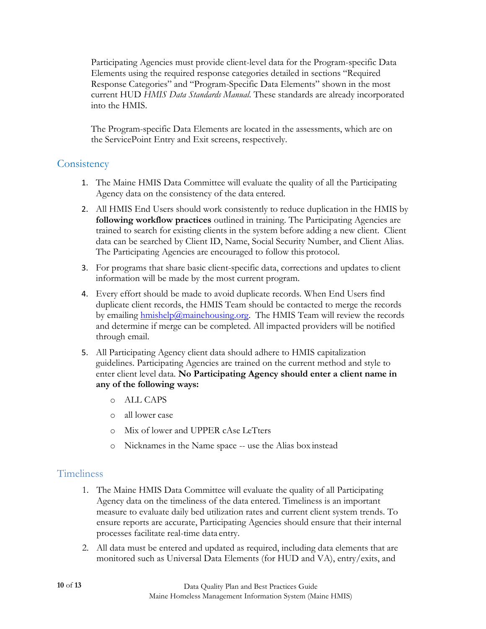Participating Agencies must provide client-level data for the Program-specific Data Elements using the required response categories detailed in sections "Required Response Categories" and "Program-Specific Data Elements" shown in the most current HUD *HMIS Data Standards Manual*. These standards are already incorporated into the HMIS.

The Program-specific Data Elements are located in the assessments, which are on the ServicePoint Entry and Exit screens, respectively.

#### <span id="page-9-0"></span>**Consistency**

- 1. The Maine HMIS Data Committee will evaluate the quality of all the Participating Agency data on the consistency of the data entered.
- 2. All HMIS End Users should work consistently to reduce duplication in the HMIS by **following workflow practices** outlined in training. The Participating Agencies are trained to search for existing clients in the system before adding a new client. Client data can be searched by Client ID, Name, Social Security Number, and Client Alias. The Participating Agencies are encouraged to follow this protocol.
- 3. For programs that share basic client-specific data, corrections and updates to client information will be made by the most current program.
- 4. Every effort should be made to avoid duplicate records. When End Users find duplicate client records, the HMIS Team should be contacted to merge the records by emailing  $h$ mishelp@mainehousing.org. The HMIS Team will review the records and determine if merge can be completed. All impacted providers will be notified through email.
- 5. All Participating Agency client data should adhere to HMIS capitalization guidelines. Participating Agencies are trained on the current method and style to enter client level data. **No Participating Agency should enter a client name in any of the following ways:**
	- o ALL CAPS
	- o all lower case
	- o Mix of lower and UPPER cAse LeTters
	- o Nicknames in the Name space -- use the Alias box instead

#### <span id="page-9-1"></span>**Timeliness**

- 1. The Maine HMIS Data Committee will evaluate the quality of all Participating Agency data on the timeliness of the data entered. Timeliness is an important measure to evaluate daily bed utilization rates and current client system trends. To ensure reports are accurate, Participating Agencies should ensure that their internal processes facilitate real-time data entry.
- 2. All data must be entered and updated as required, including data elements that are monitored such as Universal Data Elements (for HUD and VA), entry/exits, and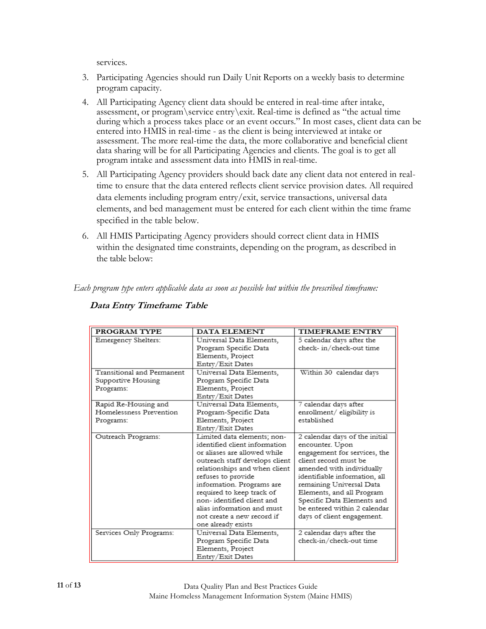services.

- 3. Participating Agencies should run Daily Unit Reports on a weekly basis to determine program capacity.
- 4. All Participating Agency client data should be entered in real-time after intake, assessment, or program\service entry\exit. Real-time is defined as "the actual time during which a process takes place or an event occurs." In most cases, client data can be entered into HMIS in real-time - as the client is being interviewed at intake or assessment. The more real-time the data, the more collaborative and beneficial client data sharing will be for all Participating Agencies and clients. The goal is to get all program intake and assessment data into HMIS in real-time.
- 5. All Participating Agency providers should back date any client data not entered in realtime to ensure that the data entered reflects client service provision dates. All required data elements including program entry/exit, service transactions, universal data elements, and bed management must be entered for each client within the time frame specified in the table below.
- 6. All HMIS Participating Agency providers should correct client data in HMIS within the designated time constraints, depending on the program, as described in the table below:

*Each program type enters applicable data as soon as possible but within the prescribed timeframe:*

| PROGRAM TYPE               | DATA ELEMENT                   | TIMEFRAME ENTRY                |
|----------------------------|--------------------------------|--------------------------------|
| Emergency Shelters:        | Universal Data Elements.       | 5 calendar days after the      |
|                            | Program Specific Data          | check- in/check-out time       |
|                            | Elements, Project              |                                |
|                            | Entry/Exit Dates               |                                |
| Transitional and Permanent | Universal Data Elements,       | Within 30 calendar days        |
| Supportive Housing         | Program Specific Data          |                                |
| Programs:                  | Elements, Project              |                                |
|                            | Entry/Exit Dates               |                                |
| Rapid Re-Housing and       | Universal Data Elements,       | 7 calendar days after          |
| Homelessness Prevention    | Program-Specific Data          | enrollment/ eligibility is     |
| Programs:                  | Elements, Project              | established                    |
|                            | Entry/Exit Dates               |                                |
| Outreach Programs:         | Limited data elements; non-    | 2 calendar days of the initial |
|                            | identified client information. | encounter. Upon                |
|                            | or aliases are allowed while   | engagement for services, the   |
|                            | outreach staff develops client | client record must be          |
|                            | relationships and when client  | amended with individually      |
|                            | refuses to provide             | identifiable information, all  |
|                            | information. Programs are      | remaining Universal Data       |
|                            | required to keep track of      | Elements, and all Program      |
|                            | non-identified client and      | Specific Data Elements and     |
|                            | alias information and must     | be entered within 2 calendar   |
|                            | not create a new record if     | days of client engagement.     |
|                            | one already exists             |                                |
| Services Only Programs:    | Universal Data Elements,       | 2 calendar days after the      |
|                            | Program Specific Data          | check-in/check-out time        |
|                            | Elements, Project              |                                |
|                            | Entry/Exit Dates               |                                |

#### **Data Entry Timeframe Table**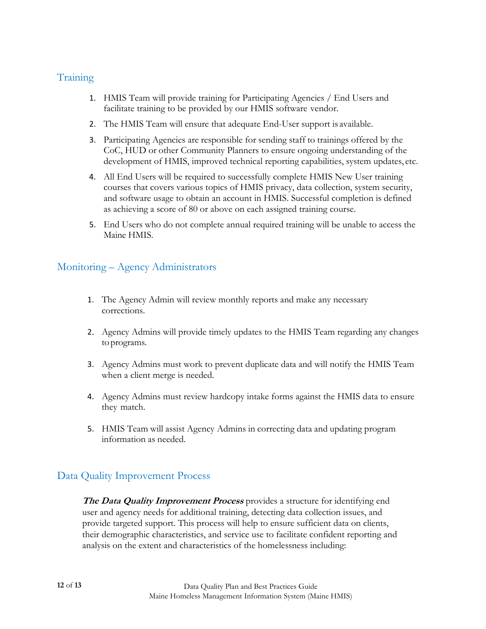#### <span id="page-11-0"></span>**Training**

- 1. HMIS Team will provide training for Participating Agencies / End Users and facilitate training to be provided by our HMIS software vendor.
- 2. The HMIS Team will ensure that adequate End-User support is available.
- 3. Participating Agencies are responsible for sending staff to trainings offered by the CoC, HUD or other Community Planners to ensure ongoing understanding of the development of HMIS, improved technical reporting capabilities, system updates, etc.
- 4. All End Users will be required to successfully complete HMIS New User training courses that covers various topics of HMIS privacy, data collection, system security, and software usage to obtain an account in HMIS. Successful completion is defined as achieving a score of 80 or above on each assigned training course.
- 5. End Users who do not complete annual required training will be unable to access the Maine HMIS.

### Monitoring – Agency Administrators

- 1. The Agency Admin will review monthly reports and make any necessary corrections.
- 2. Agency Admins will provide timely updates to the HMIS Team regarding any changes to programs.
- 3. Agency Admins must work to prevent duplicate data and will notify the HMIS Team when a client merge is needed.
- 4. Agency Admins must review hardcopy intake forms against the HMIS data to ensure they match.
- 5. HMIS Team will assist Agency Admins in correcting data and updating program information as needed.

### <span id="page-11-1"></span>Data Quality Improvement Process

**The Data Quality Improvement Process** provides a structure for identifying end user and agency needs for additional training, detecting data collection issues, and provide targeted support. This process will help to ensure sufficient data on clients, their demographic characteristics, and service use to facilitate confident reporting and analysis on the extent and characteristics of the homelessness including: